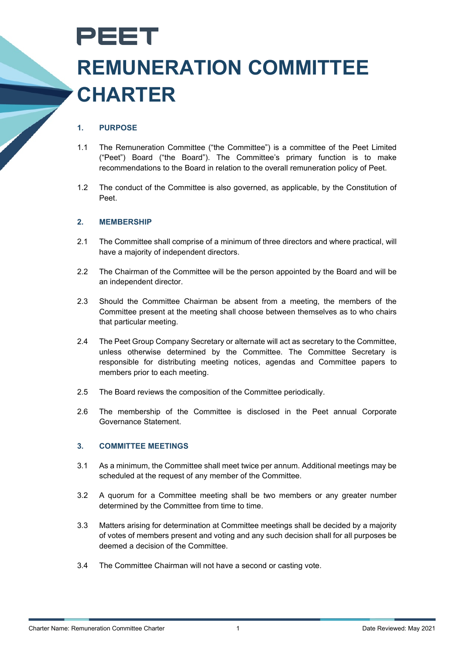# PEET **REMUNERATION COMMITTEE CHARTER**

## **1. PURPOSE**

- 1.1 The Remuneration Committee ("the Committee") is a committee of the Peet Limited ("Peet") Board ("the Board"). The Committee's primary function is to make recommendations to the Board in relation to the overall remuneration policy of Peet.
- 1.2 The conduct of the Committee is also governed, as applicable, by the Constitution of Peet.

#### **2. MEMBERSHIP**

- 2.1 The Committee shall comprise of a minimum of three directors and where practical, will have a majority of independent directors.
- 2.2 The Chairman of the Committee will be the person appointed by the Board and will be an independent director.
- 2.3 Should the Committee Chairman be absent from a meeting, the members of the Committee present at the meeting shall choose between themselves as to who chairs that particular meeting.
- 2.4 The Peet Group Company Secretary or alternate will act as secretary to the Committee, unless otherwise determined by the Committee. The Committee Secretary is responsible for distributing meeting notices, agendas and Committee papers to members prior to each meeting.
- 2.5 The Board reviews the composition of the Committee periodically.
- 2.6 The membership of the Committee is disclosed in the Peet annual Corporate Governance Statement.

### **3. COMMITTEE MEETINGS**

- 3.1 As a minimum, the Committee shall meet twice per annum. Additional meetings may be scheduled at the request of any member of the Committee.
- 3.2 A quorum for a Committee meeting shall be two members or any greater number determined by the Committee from time to time.
- 3.3 Matters arising for determination at Committee meetings shall be decided by a majority of votes of members present and voting and any such decision shall for all purposes be deemed a decision of the Committee.
- 3.4 The Committee Chairman will not have a second or casting vote.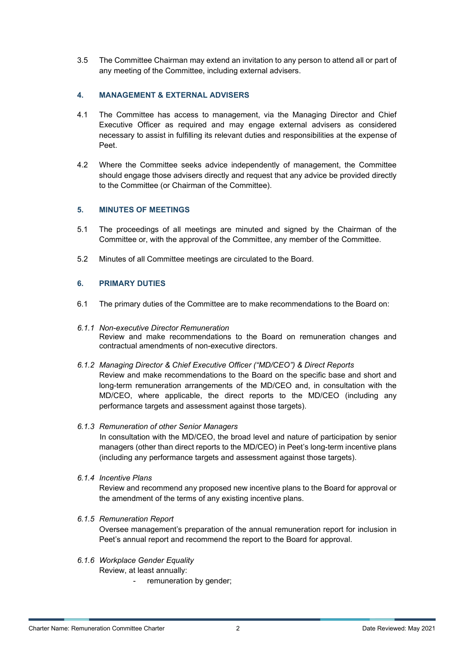3.5 The Committee Chairman may extend an invitation to any person to attend all or part of any meeting of the Committee, including external advisers.

## **4. MANAGEMENT & EXTERNAL ADVISERS**

- 4.1 The Committee has access to management, via the Managing Director and Chief Executive Officer as required and may engage external advisers as considered necessary to assist in fulfilling its relevant duties and responsibilities at the expense of Peet.
- 4.2 Where the Committee seeks advice independently of management, the Committee should engage those advisers directly and request that any advice be provided directly to the Committee (or Chairman of the Committee).

## **5. MINUTES OF MEETINGS**

- 5.1 The proceedings of all meetings are minuted and signed by the Chairman of the Committee or, with the approval of the Committee, any member of the Committee.
- 5.2 Minutes of all Committee meetings are circulated to the Board.

## **6. PRIMARY DUTIES**

- 6.1 The primary duties of the Committee are to make recommendations to the Board on:
- *6.1.1 Non-executive Director Remuneration* Review and make recommendations to the Board on remuneration changes and contractual amendments of non-executive directors.
- *6.1.2 Managing Director & Chief Executive Officer ("MD/CEO") & Direct Reports* Review and make recommendations to the Board on the specific base and short and long-term remuneration arrangements of the MD/CEO and, in consultation with the MD/CEO, where applicable, the direct reports to the MD/CEO (including any performance targets and assessment against those targets).

#### *6.1.3 Remuneration of other Senior Managers*

In consultation with the MD/CEO, the broad level and nature of participation by senior managers (other than direct reports to the MD/CEO) in Peet's long-term incentive plans (including any performance targets and assessment against those targets).

*6.1.4 Incentive Plans* 

Review and recommend any proposed new incentive plans to the Board for approval or the amendment of the terms of any existing incentive plans.

*6.1.5 Remuneration Report*

Oversee management's preparation of the annual remuneration report for inclusion in Peet's annual report and recommend the report to the Board for approval.

#### *6.1.6 Workplace Gender Equality*

Review, at least annually:

- remuneration by gender;